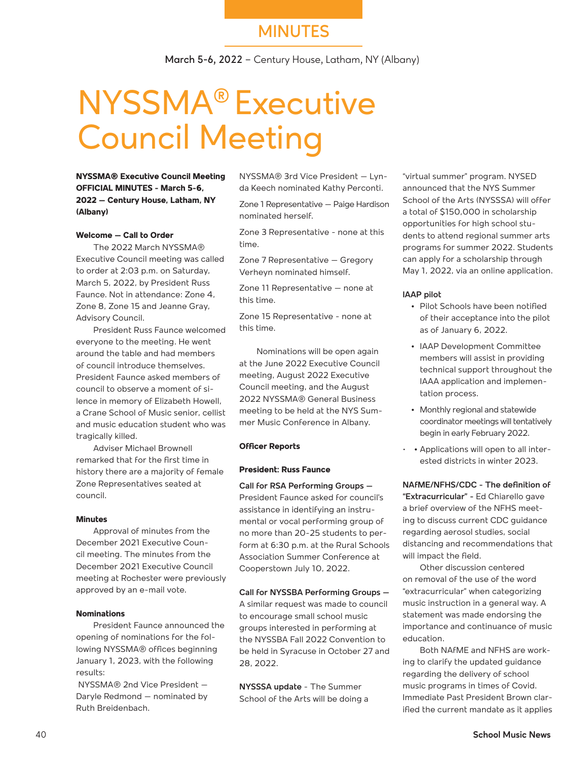## **MINUTES**

**March 5-6, 2022** – Century House, Latham, NY (Albany)

## NYSSMA® Executive Council Meeting

**NYSSMA® Executive Council Meeting OFFICIAL MINUTES - March 5-6, 2022 – Century House, Latham, NY (Albany)**

#### **Welcome – Call to Order**

The 2022 March NYSSMA® Executive Council meeting was called to order at 2:03 p.m. on Saturday, March 5, 2022, by President Russ Faunce. Not in attendance: Zone 4, Zone 8, Zone 15 and Jeanne Gray, Advisory Council.

President Russ Faunce welcomed everyone to the meeting. He went around the table and had members of council introduce themselves. President Faunce asked members of council to observe a moment of silence in memory of Elizabeth Howell, a Crane School of Music senior, cellist and music education student who was tragically killed.

Adviser Michael Brownell remarked that for the first time in history there are a majority of female Zone Representatives seated at council.

#### **Minutes**

Approval of minutes from the December 2021 Executive Council meeting. The minutes from the December 2021 Executive Council meeting at Rochester were previously approved by an e-mail vote.

#### **Nominations**

President Faunce announced the opening of nominations for the following NYSSMA® offices beginning January 1, 2023, with the following results:

 NYSSMA® 2nd Vice President – Daryle Redmond – nominated by Ruth Breidenbach.

NYSSMA® 3rd Vice President – Lynda Keech nominated Kathy Perconti.

Zone 1 Representative – Paige Hardison nominated herself.

Zone 3 Representative - none at this time.

Zone 7 Representative – Gregory Verheyn nominated himself.

Zone 11 Representative – none at this time.

Zone 15 Representative - none at this time.

Nominations will be open again at the June 2022 Executive Council meeting, August 2022 Executive Council meeting, and the August 2022 NYSSMA® General Business meeting to be held at the NYS Summer Music Conference in Albany.

#### **Officer Reports**

#### **President: Russ Faunce**

**Call for RSA Performing Groups –**  President Faunce asked for council's assistance in identifying an instrumental or vocal performing group of no more than 20-25 students to perform at 6:30 p.m. at the Rural Schools Association Summer Conference at Cooperstown July 10, 2022.

#### **Call for NYSSBA Performing Groups –**

A similar request was made to council to encourage small school music groups interested in performing at the NYSSBA Fall 2022 Convention to be held in Syracuse in October 27 and 28, 2022.

**NYSSSA update** - The Summer School of the Arts will be doing a

"virtual summer" program. NYSED announced that the NYS Summer School of the Arts (NYSSSA) will offer a total of \$150,000 in scholarship opportunities for high school students to attend regional summer arts programs for summer 2022. Students can apply for a scholarship through May 1, 2022, via an online application.

#### **IAAP pilot**

- **•** Pilot Schools have been notified of their acceptance into the pilot as of January 6, 2022.
- **•** IAAP Development Committee members will assist in providing technical support throughout the IAAA application and implementation process.
- **•** Monthly regional and statewide coordinator meetings will tentatively begin in early February 2022.
- **•** Applications will open to all interested districts in winter 2023.

**NAfME/NFHS/CDC - The definition of "Extracurricular" -** Ed Chiarello gave a brief overview of the NFHS meeting to discuss current CDC guidance regarding aerosol studies, social distancing and recommendations that will impact the field.

Other discussion centered on removal of the use of the word "extracurricular" when categorizing music instruction in a general way. A statement was made endorsing the importance and continuance of music education.

Both NAfME and NFHS are working to clarify the updated guidance regarding the delivery of school music programs in times of Covid. Immediate Past President Brown clarified the current mandate as it applies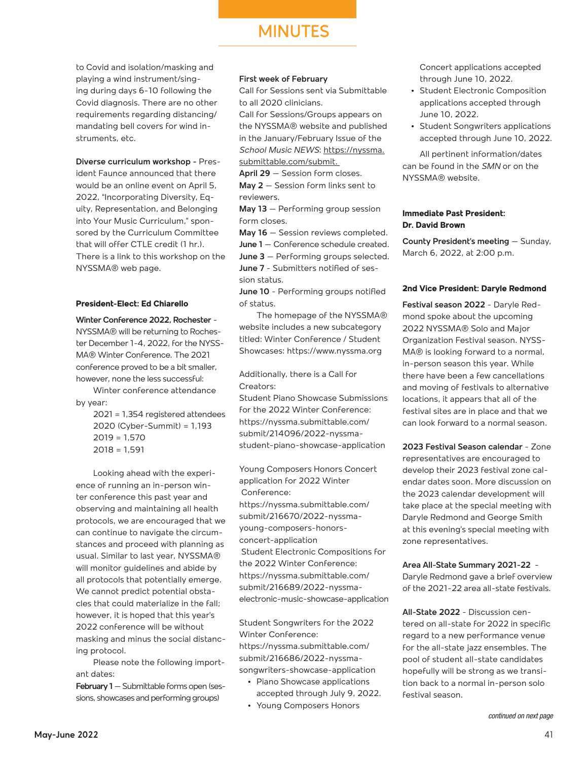## **MINUTES**

to Covid and isolation/masking and playing a wind instrument/singing during days 6-10 following the Covid diagnosis. There are no other requirements regarding distancing/ mandating bell covers for wind instruments, etc.

**Diverse curriculum workshop -** President Faunce announced that there would be an online event on April 5, 2022, "Incorporating Diversity, Equity, Representation, and Belonging into Your Music Curriculum," sponsored by the Curriculum Committee that will offer CTLE credit (1 hr.). There is a link to this workshop on the NYSSMA® web page.

#### **President-Elect: Ed Chiarello**

**Winter Conference 2022, Rochester** - NYSSMA® will be returning to Rochester December 1-4, 2022, for the NYSS-MA® Winter Conference. The 2021 conference proved to be a bit smaller, however, none the less successful:

Winter conference attendance by year:

> 2021 = 1,354 registered attendees 2020 (Cyber-Summit) = 1,193  $2019 = 1,570$  $2018 = 1.591$

Looking ahead with the experience of running an in-person winter conference this past year and observing and maintaining all health protocols, we are encouraged that we can continue to navigate the circumstances and proceed with planning as usual. Similar to last year, NYSSMA® will monitor guidelines and abide by all protocols that potentially emerge. We cannot predict potential obstacles that could materialize in the fall; however, it is hoped that this year's 2022 conference will be without masking and minus the social distancing protocol.

Please note the following important dates:

**February 1** – Submittable forms open (sessions, showcases and performing groups)

#### **First week of February**

Call for Sessions sent via Submittable to all 2020 clinicians.

Call for Sessions/Groups appears on the NYSSMA® website and published in the January/February Issue of the *School Music NEWS*: https://nyssma. submittable.com/submit.

**April 29** – Session form closes.

**May 2** – Session form links sent to reviewers.

**May 13** – Performing group session form closes.

**May 16** – Session reviews completed.

**June 1** – Conference schedule created. **June 3** – Performing groups selected. **June 7** - Submitters notified of session status.

**June 10** - Performing groups notified

of status. The homepage of the NYSSMA®

website includes a new subcategory titled: Winter Conference / Student Showcases: https://www.nyssma.org

Additionally, there is a Call for Creators:

Student Piano Showcase Submissions for the 2022 Winter Conference: https://nyssma.submittable.com/ submit/214096/2022-nyssmastudent-piano-showcase-application

Young Composers Honors Concert application for 2022 Winter Conference:

https://nyssma.submittable.com/ submit/216670/2022-nyssmayoung-composers-honorsconcert-application Student Electronic Compositions for the 2022 Winter Conference: https://nyssma.submittable.com/ submit/216689/2022-nyssmaelectronic-music-showcase-application

Student Songwriters for the 2022 Winter Conference: https://nyssma.submittable.com/ submit/216686/2022-nyssmasongwriters-showcase-application

- **•** Piano Showcase applications accepted through July 9, 2022.
- **•** Young Composers Honors

Concert applications accepted through June 10, 2022.

- **•** Student Electronic Composition applications accepted through June 10, 2022.
- **•** Student Songwriters applications accepted through June 10, 2022.

All pertinent information/dates can be found in the *SMN* or on the NYSSMA® website.

#### **Immediate Past President: Dr. David Brown**

**County President's meeting** – Sunday, March 6, 2022, at 2:00 p.m.

#### **2nd Vice President: Daryle Redmond**

**Festival season 2022** - Daryle Redmond spoke about the upcoming 2022 NYSSMA® Solo and Major Organization Festival season. NYSS-MA® is looking forward to a normal, in-person season this year. While there have been a few cancellations and moving of festivals to alternative locations, it appears that all of the festival sites are in place and that we can look forward to a normal season.

**2023 Festival Season calendar** - Zone representatives are encouraged to develop their 2023 festival zone calendar dates soon. More discussion on the 2023 calendar development will take place at the special meeting with Daryle Redmond and George Smith at this evening's special meeting with zone representatives.

**Area All-State Summary 2021-22** - Daryle Redmond gave a brief overview of the 2021-22 area all-state festivals.

**All-State 2022** - Discussion centered on all-state for 2022 in specific regard to a new performance venue for the all-state jazz ensembles. The pool of student all-state candidates hopefully will be strong as we transition back to a normal in-person solo festival season.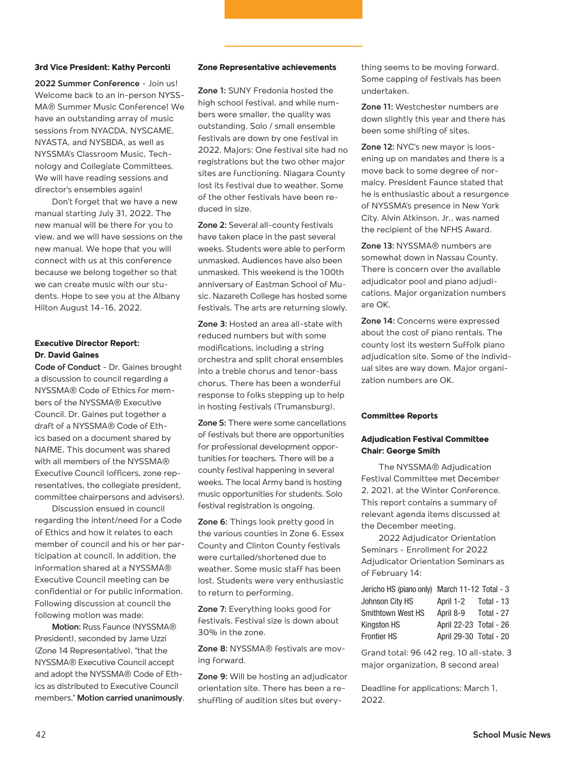#### **3rd Vice President: Kathy Perconti**

**2022 Summer Conference** - Join us! Welcome back to an in-person NYSS-MA® Summer Music Conference! We have an outstanding array of music sessions from NYACDA, NYSCAME, NYASTA, and NYSBDA, as well as NYSSMA's Classroom Music, Technology and Collegiate Committees. We will have reading sessions and director's ensembles again!

Don't forget that we have a new manual starting July 31, 2022. The new manual will be there for you to view, and we will have sessions on the new manual. We hope that you will connect with us at this conference because we belong together so that we can create music with our students. Hope to see you at the Albany Hilton August 14-16, 2022.

#### **Executive Director Report: Dr. David Gaines**

**Code of Conduct** - Dr. Gaines brought a discussion to council regarding a NYSSMA® Code of Ethics for members of the NYSSMA® Executive Council. Dr. Gaines put together a draft of a NYSSMA® Code of Ethics based on a document shared by NAfME. This document was shared with all members of the NYSSMA® Executive Council (officers, zone representatives, the collegiate president, committee chairpersons and advisers).

Discussion ensued in council regarding the intent/need for a Code of Ethics and how it relates to each member of council and his or her participation at council. In addition, the information shared at a NYSSMA® Executive Council meeting can be confidential or for public information. Following discussion at council the following motion was made:

**Motion:** Russ Faunce (NYSSMA® President), seconded by Jame Uzzi (Zone 14 Representative), "that the NYSSMA® Executive Council accept and adopt the NYSSMA® Code of Ethics as distributed to Executive Council members." **Motion carried unanimously**.

#### **Zone Representative achievements**

**Zone 1:** SUNY Fredonia hosted the high school festival, and while numbers were smaller, the quality was outstanding. Solo / small ensemble festivals are down by one festival in 2022. Majors: One festival site had no registrations but the two other major sites are functioning. Niagara County lost its festival due to weather. Some of the other festivals have been reduced in size.

**Zone 2:** Several all-county festivals have taken place in the past several weeks. Students were able to perform unmasked. Audiences have also been unmasked. This weekend is the 100th anniversary of Eastman School of Music. Nazareth College has hosted some festivals. The arts are returning slowly.

**Zone 3:** Hosted an area all-state with reduced numbers but with some modifications, including a string orchestra and split choral ensembles into a treble chorus and tenor-bass chorus. There has been a wonderful response to folks stepping up to help in hosting festivals (Trumansburg).

**Zone 5:** There were some cancellations of festivals but there are opportunities for professional development opportunities for teachers. There will be a county festival happening in several weeks. The local Army band is hosting music opportunities for students. Solo festival registration is ongoing.

**Zone 6:** Things look pretty good in the various counties in Zone 6. Essex County and Clinton County festivals were curtailed/shortened due to weather. Some music staff has been lost. Students were very enthusiastic to return to performing.

**Zone 7:** Everything looks good for festivals. Festival size is down about 30% in the zone.

**Zone 8:** NYSSMA® festivals are moving forward.

**Zone 9:** Will be hosting an adjudicator orientation site. There has been a reshuffling of audition sites but everything seems to be moving forward. Some capping of festivals has been undertaken.

**Zone 11:** Westchester numbers are down slightly this year and there has been some shifting of sites.

**Zone 12:** NYC's new mayor is loosening up on mandates and there is a move back to some degree of normalcy. President Faunce stated that he is enthusiastic about a resurgence of NYSSMA's presence in New York City. Alvin Atkinson, Jr., was named the recipient of the NFHS Award.

**Zone 13:** NYSSMA® numbers are somewhat down in Nassau County. There is concern over the available adjudicator pool and piano adjudications. Major organization numbers are OK.

**Zone 14:** Concerns were expressed about the cost of piano rentals. The county lost its western Suffolk piano adjudication site. Some of the individual sites are way down. Major organization numbers are OK.

#### **Committee Reports**

#### **Adjudication Festival Committee Chair: George Smith**

The NYSSMA® Adjudication Festival Committee met December 2, 2021, at the Winter Conference. This report contains a summary of relevant agenda items discussed at the December meeting.

2022 Adjudicator Orientation Seminars - Enrollment for 2022 Adjudicator Orientation Seminars as of February 14:

|                    | Jericho HS (piano only) March 11-12 Total - 3 |            |
|--------------------|-----------------------------------------------|------------|
| Johnson City HS    | April 1-2                                     | Total - 13 |
| Smithtown West HS  | April 8-9                                     | Total - 27 |
| Kingston HS        | April 22-23 Total - 26                        |            |
| <b>Frontier HS</b> | April 29-30 Total - 20                        |            |

Grand total: 96 (42 reg, 10 all-state, 3 major organization, 8 second area)

Deadline for applications: March 1, 2022.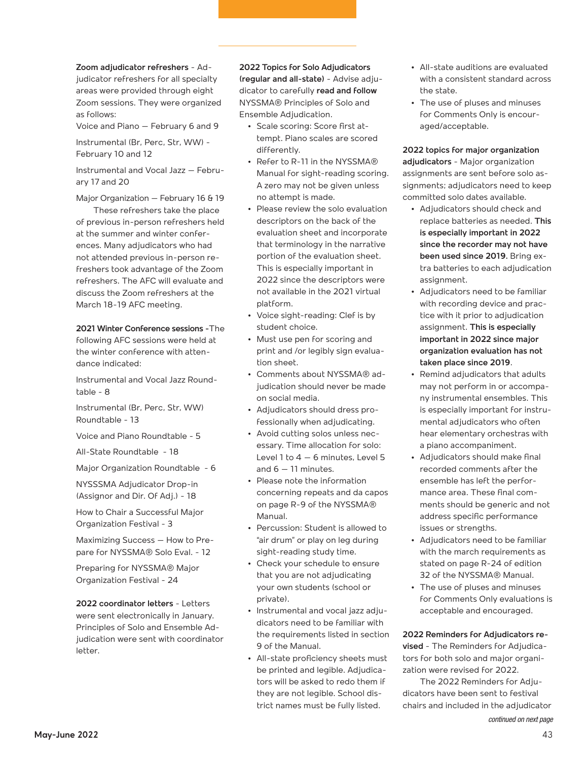**Zoom adjudicator refreshers** - Adjudicator refreshers for all specialty areas were provided through eight Zoom sessions. They were organized as follows:

Voice and Piano – February 6 and 9

Instrumental (Br, Perc, Str, WW) - February 10 and 12

Instrumental and Vocal Jazz – February 17 and 20

Major Organization – February 16 & 19

These refreshers take the place of previous in-person refreshers held at the summer and winter conferences. Many adjudicators who had not attended previous in-person refreshers took advantage of the Zoom refreshers. The AFC will evaluate and discuss the Zoom refreshers at the March 18-19 AFC meeting.

#### **2021 Winter Conference sessions -**The

following AFC sessions were held at the winter conference with attendance indicated:

Instrumental and Vocal Jazz Roundtable - 8

Instrumental (Br, Perc, Str, WW) Roundtable - 13

Voice and Piano Roundtable - 5

All-State Roundtable - 18

Major Organization Roundtable - 6

NYSSSMA Adjudicator Drop-in (Assignor and Dir. Of Adj.) - 18

How to Chair a Successful Major Organization Festival - 3

Maximizing Success – How to Prepare for NYSSMA® Solo Eval. - 12

Preparing for NYSSMA® Major Organization Festival - 24

**2022 coordinator letters** - Letters

were sent electronically in January. Principles of Solo and Ensemble Adjudication were sent with coordinator letter.

**2022 Topics for Solo Adjudicators (regular and all-state)** - Advise adjudicator to carefully **read and follow** NYSSMA® Principles of Solo and Ensemble Adjudication.

- **•** Scale scoring: Score first attempt. Piano scales are scored differently.
- **•** Refer to R-11 in the NYSSMA® Manual for sight-reading scoring. A zero may not be given unless no attempt is made.
- **•** Please review the solo evaluation descriptors on the back of the evaluation sheet and incorporate that terminology in the narrative portion of the evaluation sheet. This is especially important in 2022 since the descriptors were not available in the 2021 virtual platform.
- **•** Voice sight-reading: Clef is by student choice.
- **•** Must use pen for scoring and print and /or legibly sign evaluation sheet.
- **•** Comments about NYSSMA® adjudication should never be made on social media.
- **•** Adjudicators should dress professionally when adjudicating.
- **•** Avoid cutting solos unless necessary. Time allocation for solo: Level  $1$  to  $4 - 6$  minutes, Level  $5$ and  $6 - 11$  minutes.
- **•** Please note the information concerning repeats and da capos on page R-9 of the NYSSMA® Manual.
- **•** Percussion: Student is allowed to "air drum" or play on leg during sight-reading study time.
- **•** Check your schedule to ensure that you are not adjudicating your own students (school or private).
- **•** Instrumental and vocal jazz adjudicators need to be familiar with the requirements listed in section 9 of the Manual.
- **•** All-state proficiency sheets must be printed and legible. Adjudicators will be asked to redo them if they are not legible. School district names must be fully listed.
- **•** All-state auditions are evaluated with a consistent standard across the state.
- **•** The use of pluses and minuses for Comments Only is encouraged/acceptable.

**2022 topics for major organization adjudicators** - Major organization assignments are sent before solo assignments; adjudicators need to keep committed solo dates available.

- **•** Adjudicators should check and replace batteries as needed. **This is especially important in 2022 since the recorder may not have been used since 2019.** Bring extra batteries to each adjudication assignment.
- **•** Adjudicators need to be familiar with recording device and practice with it prior to adjudication assignment. **This is especially important in 2022 since major organization evaluation has not taken place since 2019**.
- **•** Remind adjudicators that adults may not perform in or accompany instrumental ensembles. This is especially important for instrumental adjudicators who often hear elementary orchestras with a piano accompaniment.
- **•** Adjudicators should make final recorded comments after the ensemble has left the performance area. These final comments should be generic and not address specific performance issues or strengths.
- **•** Adjudicators need to be familiar with the march requirements as stated on page R-24 of edition 32 of the NYSSMA® Manual.
- **•** The use of pluses and minuses for Comments Only evaluations is acceptable and encouraged.

**2022 Reminders for Adjudicators re-**

**vised** - The Reminders for Adjudicators for both solo and major organization were revised for 2022.

The 2022 Reminders for Adjudicators have been sent to festival chairs and included in the adjudicator

continued on next page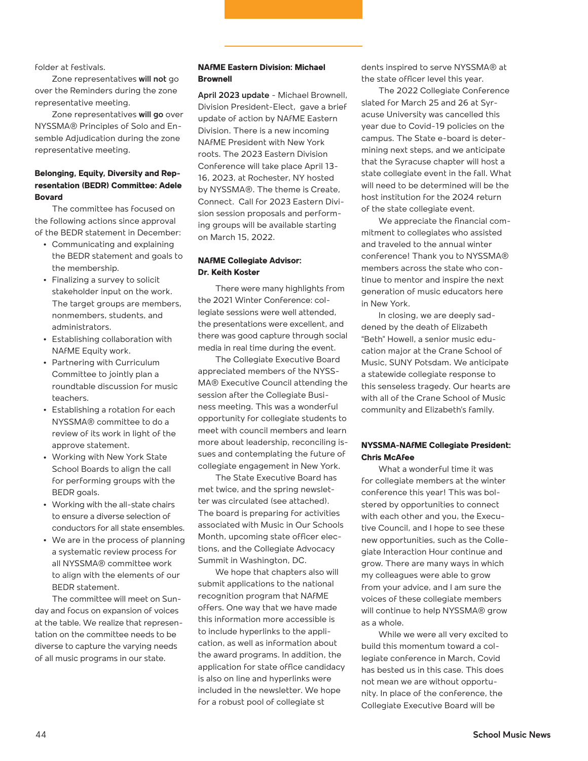folder at festivals.

Zone representatives **will not** go over the Reminders during the zone representative meeting.

Zone representatives **will go** over NYSSMA® Principles of Solo and Ensemble Adjudication during the zone representative meeting.

#### **Belonging, Equity, Diversity and Representation (BEDR) Committee: Adele Bovard**

The committee has focused on the following actions since approval of the BEDR statement in December:

- **•** Communicating and explaining the BEDR statement and goals to the membership.
- **•** Finalizing a survey to solicit stakeholder input on the work. The target groups are members, nonmembers, students, and administrators.
- **•** Establishing collaboration with NAfME Equity work.
- **•** Partnering with Curriculum Committee to jointly plan a roundtable discussion for music teachers.
- **•** Establishing a rotation for each NYSSMA® committee to do a review of its work in light of the approve statement.
- **•** Working with New York State School Boards to align the call for performing groups with the BEDR goals.
- **•** Working with the all-state chairs to ensure a diverse selection of conductors for all state ensembles.
- **•** We are in the process of planning a systematic review process for all NYSSMA® committee work to align with the elements of our BEDR statement.

The committee will meet on Sunday and focus on expansion of voices at the table. We realize that representation on the committee needs to be diverse to capture the varying needs of all music programs in our state.

#### **NAfME Eastern Division: Michael Brownell**

**April 2023 update** - Michael Brownell, Division President-Elect, gave a brief update of action by NAfME Eastern Division. There is a new incoming NAfME President with New York roots. The 2023 Eastern Division Conference will take place April 13- 16, 2023, at Rochester, NY hosted by NYSSMA®. The theme is Create, Connect. Call for 2023 Eastern Division session proposals and performing groups will be available starting on March 15, 2022.

#### **NAfME Collegiate Advisor: Dr. Keith Koster**

There were many highlights from the 2021 Winter Conference: collegiate sessions were well attended, the presentations were excellent, and there was good capture through social media in real time during the event.

The Collegiate Executive Board appreciated members of the NYSS-MA® Executive Council attending the session after the Collegiate Business meeting. This was a wonderful opportunity for collegiate students to meet with council members and learn more about leadership, reconciling issues and contemplating the future of collegiate engagement in New York.

The State Executive Board has met twice, and the spring newsletter was circulated (see attached). The board is preparing for activities associated with Music in Our Schools Month, upcoming state officer elections, and the Collegiate Advocacy Summit in Washington, DC.

We hope that chapters also will submit applications to the national recognition program that NAfME offers. One way that we have made this information more accessible is to include hyperlinks to the application, as well as information about the award programs. In addition, the application for state office candidacy is also on line and hyperlinks were included in the newsletter. We hope for a robust pool of collegiate st

dents inspired to serve NYSSMA® at the state officer level this year.

The 2022 Collegiate Conference slated for March 25 and 26 at Syracuse University was cancelled this year due to Covid-19 policies on the campus. The State e-board is determining next steps, and we anticipate that the Syracuse chapter will host a state collegiate event in the fall. What will need to be determined will be the host institution for the 2024 return of the state collegiate event.

We appreciate the financial commitment to collegiates who assisted and traveled to the annual winter conference! Thank you to NYSSMA® members across the state who continue to mentor and inspire the next generation of music educators here in New York.

In closing, we are deeply saddened by the death of Elizabeth "Beth" Howell, a senior music education major at the Crane School of Music, SUNY Potsdam. We anticipate a statewide collegiate response to this senseless tragedy. Our hearts are with all of the Crane School of Music community and Elizabeth's family.

#### **NYSSMA-NAfME Collegiate President: Chris McAfee**

What a wonderful time it was for collegiate members at the winter conference this year! This was bolstered by opportunities to connect with each other and you, the Executive Council, and I hope to see these new opportunities, such as the Collegiate Interaction Hour continue and grow. There are many ways in which my colleagues were able to grow from your advice, and I am sure the voices of these collegiate members will continue to help NYSSMA® grow as a whole.

While we were all very excited to build this momentum toward a collegiate conference in March, Covid has bested us in this case. This does not mean we are without opportunity. In place of the conference, the Collegiate Executive Board will be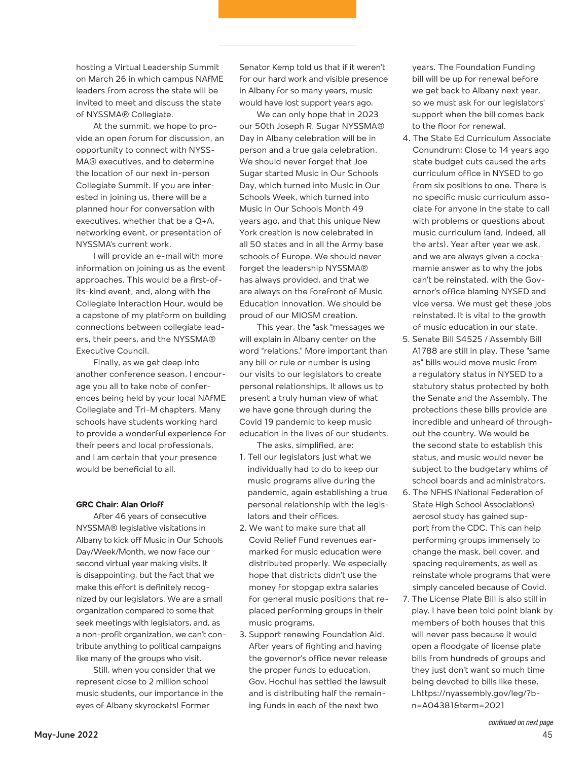hosting a Virtual Leadership Summit on March 26 in which campus NAfME leaders from across the state will be invited to meet and discuss the state of NYSSMA® Collegiate.

At the summit, we hope to provide an open forum for discussion, an opportunity to connect with NYSS-MA® executives, and to determine the location of our next in-person Collegiate Summit. If you are interested in joining us, there will be a planned hour for conversation with executives, whether that be a Q+A, networking event, or presentation of NYSSMA's current work.

I will provide an e-mail with more information on joining us as the event approaches. This would be a first-ofits-kind event, and, along with the Collegiate Interaction Hour, would be a capstone of my platform on building connections between collegiate leaders, their peers, and the NYSSMA® Executive Council.

Finally, as we get deep into another conference season, I encourage you all to take note of conferences being held by your local NAfME Collegiate and Tri-M chapters. Many schools have students working hard to provide a wonderful experience for their peers and local professionals, and I am certain that your presence would be beneficial to all.

#### **GRC Chair: Alan Orloff**

After 46 years of consecutive NYSSMA® legislative visitations in Albany to kick off Music in Our Schools Day/Week/Month, we now face our second virtual year making visits. It is disappointing, but the fact that we make this effort is definitely recognized by our legislators. We are a small organization compared to some that seek meetings with legislators, and, as a non-profit organization, we can't contribute anything to political campaigns like many of the groups who visit.

Still, when you consider that we represent close to 2 million school music students, our importance in the eyes of Albany skyrockets! Former

Senator Kemp told us that if it weren't for our hard work and visible presence in Albany for so many years, music would have lost support years ago.

We can only hope that in 2023 our 50th Joseph R. Sugar NYSSMA® Day in Albany celebration will be in person and a true gala celebration. We should never forget that Joe Sugar started Music in Our Schools Day, which turned into Music in Our Schools Week, which turned into Music in Our Schools Month 49 years ago, and that this unique New York creation is now celebrated in all 50 states and in all the Army base schools of Europe. We should never forget the leadership NYSSMA® has always provided, and that we are always on the forefront of Music Education innovation. We should be proud of our MIOSM creation.

This year, the "ask "messages we will explain in Albany center on the word "relations." More important than any bill or rule or number is using our visits to our legislators to create personal relationships. It allows us to present a truly human view of what we have gone through during the Covid 19 pandemic to keep music education in the lives of our students. The asks, simplified, are:

- 1. Tell our legislators just what we individually had to do to keep our music programs alive during the pandemic, again establishing a true personal relationship with the legislators and their offices.
- 2. We want to make sure that all Covid Relief Fund revenues earmarked for music education were distributed properly. We especially hope that districts didn't use the money for stopgap extra salaries for general music positions that replaced performing groups in their music programs.
- 3. Support renewing Foundation Aid. After years of fighting and having the governor's office never release the proper funds to education, Gov. Hochul has settled the lawsuit and is distributing half the remaining funds in each of the next two

years. The Foundation Funding bill will be up for renewal before we get back to Albany next year, so we must ask for our legislators' support when the bill comes back to the floor for renewal.

- 4. The State Ed Curriculum Associate Conundrum: Close to 14 years ago state budget cuts caused the arts curriculum office in NYSED to go from six positions to one. There is no specific music curriculum associate for anyone in the state to call with problems or questions about music curriculum (and, indeed, all the arts). Year after year we ask, and we are always given a cockamamie answer as to why the jobs can't be reinstated, with the Governor's office blaming NYSED and vice versa. We must get these jobs reinstated. It is vital to the growth of music education in our state.
- 5. Senate Bill S4525 / Assembly Bill A1788 are still in play. These "same as" bills would move music from a regulatory status in NYSED to a statutory status protected by both the Senate and the Assembly. The protections these bills provide are incredible and unheard of throughout the country. We would be the second state to establish this status, and music would never be subject to the budgetary whims of school boards and administrators.
- 6. The NFHS (National Federation of State High School Associations) aerosol study has gained support from the CDC. This can help performing groups immensely to change the mask, bell cover, and spacing requirements, as well as reinstate whole programs that were simply canceled because of Covid.
- 7. The License Plate Bill is also still in play. I have been told point blank by members of both houses that this will never pass because it would open a floodgate of license plate bills from hundreds of groups and they just don't want so much time being devoted to bills like these. Lhttps://nyassembly.gov/leg/?bn=A04381&term=2021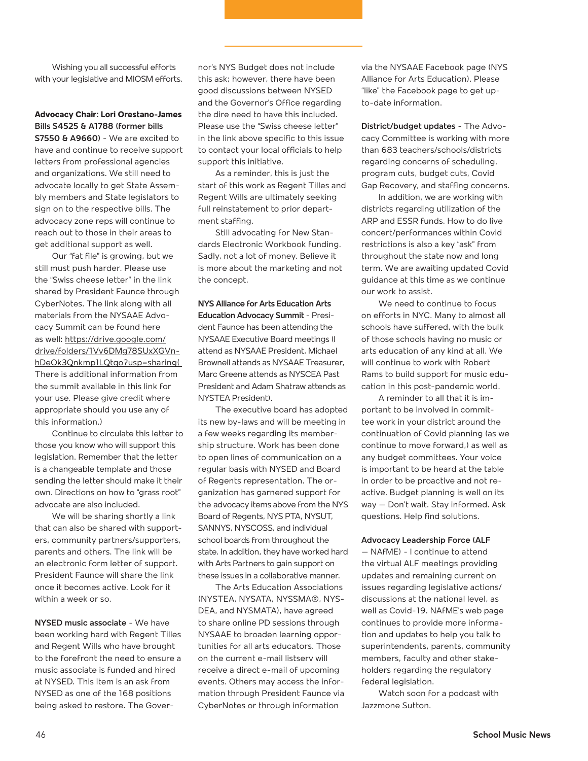Wishing you all successful efforts with your legislative and MIOSM efforts.

#### **Advocacy Chair: Lori Orestano-James Bills S4525 & A1788 (former bills**

**S7550 & A9660)** - We are excited to have and continue to receive support letters from professional agencies and organizations. We still need to advocate locally to get State Assembly members and State legislators to sign on to the respective bills. The advocacy zone reps will continue to reach out to those in their areas to get additional support as well.

Our "fat file" is growing, but we still must push harder. Please use the "Swiss cheese letter" in the link shared by President Faunce through CyberNotes. The link along with all materials from the NYSAAE Advocacy Summit can be found here as well: https://drive.google.com/ drive/folders/1Vv6DMq78SUxXGVnhDeOk3Qnkmp1LQtqo?usp=sharing( There is additional information from the summit available in this link for your use. Please give credit where appropriate should you use any of this information.)

Continue to circulate this letter to those you know who will support this legislation. Remember that the letter is a changeable template and those sending the letter should make it their own. Directions on how to "grass root" advocate are also included.

We will be sharing shortly a link that can also be shared with supporters, community partners/supporters, parents and others. The link will be an electronic form letter of support. President Faunce will share the link once it becomes active. Look for it within a week or so.

**NYSED music associate** - We have been working hard with Regent Tilles and Regent Wills who have brought to the forefront the need to ensure a music associate is funded and hired at NYSED. This item is an ask from NYSED as one of the 168 positions being asked to restore. The Governor's NYS Budget does not include this ask; however, there have been good discussions between NYSED and the Governor's Office regarding the dire need to have this included. Please use the "Swiss cheese letter" in the link above specific to this issue to contact your local officials to help support this initiative.

As a reminder, this is just the start of this work as Regent Tilles and Regent Wills are ultimately seeking full reinstatement to prior department staffing.

Still advocating for New Standards Electronic Workbook funding. Sadly, not a lot of money. Believe it is more about the marketing and not the concept.

#### **NYS Alliance for Arts Education Arts Education Advocacy Summit** - President Faunce has been attending the NYSAAE Executive Board meetings (I attend as NYSAAE President, Michael Brownell attends as NYSAAE Treasurer, Marc Greene attends as NYSCEA Past President and Adam Shatraw attends as NYSTEA President).

The executive board has adopted its new by-laws and will be meeting in a few weeks regarding its membership structure. Work has been done to open lines of communication on a regular basis with NYSED and Board of Regents representation. The organization has garnered support for the advocacy items above from the NYS Board of Regents, NYS PTA, NYSUT, SANNYS, NYSCOSS, and individual school boards from throughout the state. In addition, they have worked hard with Arts Partners to gain support on these issues in a collaborative manner.

The Arts Education Associations (NYSTEA, NYSATA, NYSSMA®, NYS-DEA, and NYSMATA), have agreed to share online PD sessions through NYSAAE to broaden learning opportunities for all arts educators. Those on the current e-mail listserv will receive a direct e-mail of upcoming events. Others may access the information through President Faunce via CyberNotes or through information

via the NYSAAE Facebook page (NYS Alliance for Arts Education). Please "like" the Facebook page to get upto-date information.

**District/budget updates** - The Advocacy Committee is working with more than 683 teachers/schools/districts regarding concerns of scheduling, program cuts, budget cuts, Covid Gap Recovery, and staffing concerns.

In addition, we are working with districts regarding utilization of the ARP and ESSR funds. How to do live concert/performances within Covid restrictions is also a key "ask" from throughout the state now and long term. We are awaiting updated Covid guidance at this time as we continue our work to assist.

We need to continue to focus on efforts in NYC. Many to almost all schools have suffered, with the bulk of those schools having no music or arts education of any kind at all. We will continue to work with Robert Rams to build support for music education in this post-pandemic world.

A reminder to all that it is important to be involved in committee work in your district around the continuation of Covid planning (as we continue to move forward,) as well as any budget committees. Your voice is important to be heard at the table in order to be proactive and not reactive. Budget planning is well on its way – Don't wait. Stay informed. Ask questions. Help find solutions.

#### **Advocacy Leadership Force (ALF**

– NAfME) - I continue to attend the virtual ALF meetings providing updates and remaining current on issues regarding legislative actions/ discussions at the national level, as well as Covid-19. NAfME's web page continues to provide more information and updates to help you talk to superintendents, parents, community members, faculty and other stakeholders regarding the regulatory federal legislation.

Watch soon for a podcast with Jazzmone Sutton.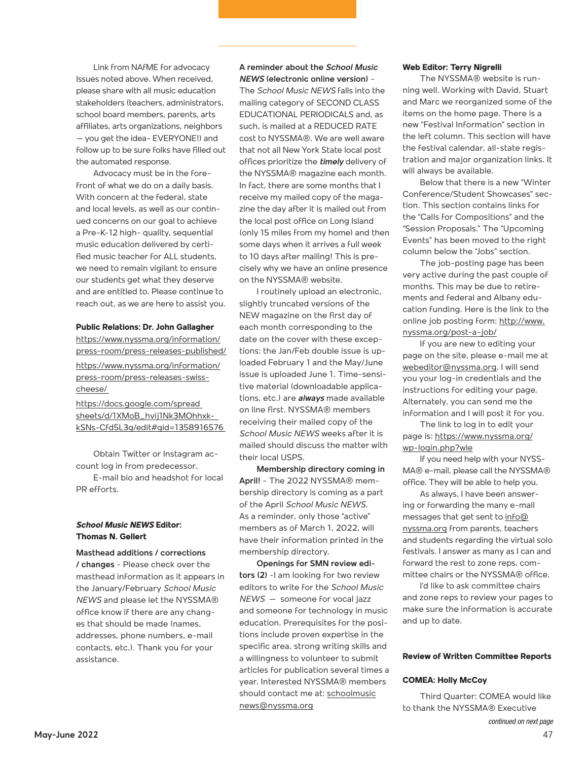Link from NAfME for advocacy Issues noted above. When received, please share with all music education stakeholders (teachers, administrators, school board members, parents, arts affiliates, arts organizations, neighbors – you get the idea- EVERYONE!) and follow up to be sure folks have filled out the automated response.

Advocacy must be in the forefront of what we do on a daily basis. With concern at the federal, state and local levels, as well as our continued concerns on our goal to achieve a Pre-K-12 high- quality, sequential music education delivered by certified music teacher for ALL students, we need to remain vigilant to ensure our students get what they deserve and are entitled to. Please continue to reach out, as we are here to assist you.

#### **Public Relations: Dr. John Gallagher**

https://www.nyssma.org/information/ press-room/press-releases-published/ https://www.nyssma.org/information/ press-room/press-releases-swisscheese/

https://docs.google.com/spread sheets/d/1XMoB\_hvij1Nk3MOhhxkkSNs-Cfd5L3g/edit#gid=1358916576

Obtain Twitter or Instagram account log in from predecessor.

E-mail bio and headshot for local PR efforts.

#### *School Music NEWS* **Editor: Thomas N. Gellert**

**Masthead additions / corrections / changes** - Please check over the masthead information as it appears in the January/February *School Music NEWS* and please let the NYSSMA® office know if there are any changes that should be made (names, addresses, phone numbers, e-mail contacts, etc.). Thank you for your assistance.

#### **A reminder about the** *School Music NEWS* **(electronic online version)** -

The *School Music NEWS* falls into the mailing category of SECOND CLASS EDUCATIONAL PERIODICALS and, as such, is mailed at a REDUCED RATE cost to NYSSMA®. We are well aware that not all New York State local post offices prioritize the *timely* delivery of the NYSSMA® magazine each month. In fact, there are some months that I receive my mailed copy of the magazine the day after it is mailed out from the local post office on Long Island (only 15 miles from my home) and then some days when it arrives a full week to 10 days after mailing! This is precisely why we have an online presence on the NYSSMA® website.

I routinely upload an electronic, slightly truncated versions of the NEW magazine on the first day of each month corresponding to the date on the cover with these exceptions: the Jan/Feb double issue is uploaded February 1 and the May/June issue is uploaded June 1. Time-sensitive material (downloadable applications, etc.) are *always* made available on line first. NYSSMA® members receiving their mailed copy of the *School Music NEWS* weeks after it is mailed should discuss the matter with their local USPS.

**Membership directory coming in April!** - The 2022 NYSSMA® membership directory is coming as a part of the April *School Music NEWS*. As a reminder, only those "active" members as of March 1, 2022, will have their information printed in the membership directory.

**Openings for SMN review editors (2)** -I am looking for two review editors to write for the *School Music NEWS* – someone for vocal jazz and someone for technology in music education. Prerequisites for the positions include proven expertise in the specific area, strong writing skills and a willingness to volunteer to submit articles for publication several times a year. Interested NYSSMA® members should contact me at: schoolmusic news@nyssma.org

#### **Web Editor: Terry Nigrelli**

The NYSSMA® website is running well. Working with David, Stuart and Marc we reorganized some of the items on the home page. There is a new "Festival Information" section in the left column. This section will have the festival calendar, all-state registration and major organization links. It will always be available.

Below that there is a new "Winter Conference/Student Showcases" section. This section contains links for the "Calls for Compositions" and the "Session Proposals." The "Upcoming Events" has been moved to the right column below the "Jobs" section.

The job-posting page has been very active during the past couple of months. This may be due to retirements and federal and Albany education funding. Here is the link to the online job posting form: http://www. nyssma.org/post-a-job/

If you are new to editing your page on the site, please e-mail me at webeditor@nyssma.org. I will send you your log-in credentials and the instructions for editing your page. Alternately, you can send me the information and I will post it for you.

The link to log in to edit your page is: https://www.nyssma.org/ wp-login.php?wle

If you need help with your NYSS-MA® e-mail, please call the NYSSMA® office. They will be able to help you.

As always, I have been answering or forwarding the many e-mail messages that get sent to info@ nyssma.org from parents, teachers and students regarding the virtual solo festivals. I answer as many as I can and forward the rest to zone reps, committee chairs or the NYSSMA® office.

I'd like to ask committee chairs and zone reps to review your pages to make sure the information is accurate and up to date.

#### **Review of Written Committee Reports**

#### **COMEA: Holly McCoy**

Third Quarter: COMEA would like to thank the NYSSMA® Executive continued on next page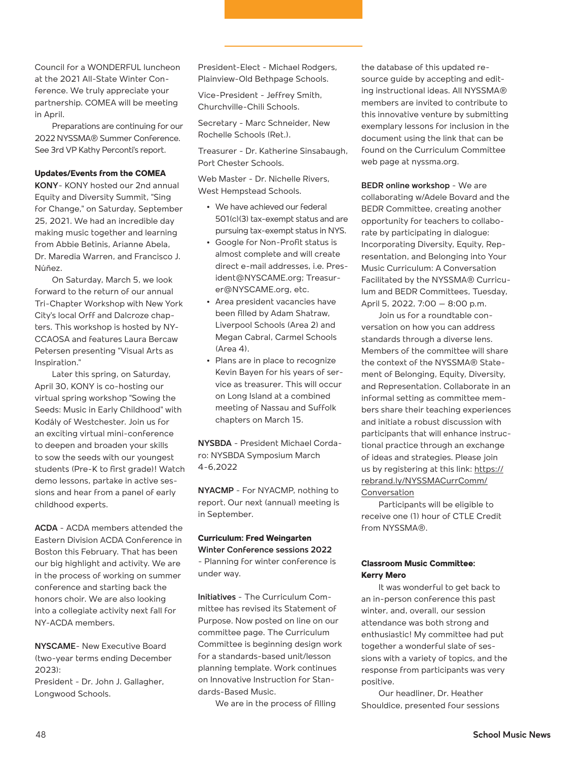Council for a WONDERFUL luncheon at the 2021 All-State Winter Conference. We truly appreciate your partnership. COMEA will be meeting in April.

Preparations are continuing for our 2022 NYSSMA® Summer Conference. See 3rd VP Kathy Perconti's report.

#### **Updates/Events from the COMEA**

**KONY**- KONY hosted our 2nd annual Equity and Diversity Summit, "Sing for Change," on Saturday, September 25, 2021. We had an incredible day making music together and learning from Abbie Betinis, Arianne Abela, Dr. Maredia Warren, and Francisco J. Núñez.

On Saturday, March 5, we look forward to the return of our annual Tri-Chapter Workshop with New York City's local Orff and Dalcroze chapters. This workshop is hosted by NY-CCAOSA and features Laura Bercaw Petersen presenting "Visual Arts as Inspiration."

Later this spring, on Saturday, April 30, KONY is co-hosting our virtual spring workshop "Sowing the Seeds: Music in Early Childhood" with Kodály of Westchester. Join us for an exciting virtual mini-conference to deepen and broaden your skills to sow the seeds with our youngest students (Pre-K to first grade)! Watch demo lessons, partake in active sessions and hear from a panel of early childhood experts.

**ACDA** - ACDA members attended the Eastern Division ACDA Conference in Boston this February. That has been our big highlight and activity. We are in the process of working on summer conference and starting back the honors choir. We are also looking into a collegiate activity next fall for NY-ACDA members.

**NYSCAME**- New Executive Board (two-year terms ending December 2023):

President - Dr. John J. Gallagher, Longwood Schools.

President-Elect - Michael Rodgers, Plainview-Old Bethpage Schools.

Vice-President - Jeffrey Smith, Churchville-Chili Schools.

Secretary - Marc Schneider, New Rochelle Schools (Ret.).

Treasurer - Dr. Katherine Sinsabaugh, Port Chester Schools.

Web Master - Dr. Nichelle Rivers, West Hempstead Schools.

- **•** We have achieved our federal 501(c)(3) tax-exempt status and are pursuing tax-exempt status in NYS.
- **•** Google for Non-Profit status is almost complete and will create direct e-mail addresses, i.e. President@NYSCAME.org; Treasurer@NYSCAME.org, etc.
- **•** Area president vacancies have been filled by Adam Shatraw, Liverpool Schools (Area 2) and Megan Cabral, Carmel Schools  $(\Delta$ rea 4).
- **•** Plans are in place to recognize Kevin Bayen for his years of service as treasurer. This will occur on Long Island at a combined meeting of Nassau and Suffolk chapters on March 15.

**NYSBDA** - President Michael Cordaro: NYSBDA Symposium March 4-6,2022

**NYACMP** - For NYACMP, nothing to report. Our next (annual) meeting is in September.

#### **Curriculum: Fred Weingarten Winter Conference sessions 2022**

- Planning for winter conference is under way.

**Initiatives** - The Curriculum Committee has revised its Statement of Purpose. Now posted on line on our committee page. The Curriculum Committee is beginning design work for a standards-based unit/lesson planning template. Work continues on Innovative Instruction for Standards-Based Music.

We are in the process of filling

the database of this updated resource guide by accepting and editing instructional ideas. All NYSSMA® members are invited to contribute to this innovative venture by submitting exemplary lessons for inclusion in the document using the link that can be found on the Curriculum Committee web page at nyssma.org.

**BEDR online workshop** - We are collaborating w/Adele Bovard and the BEDR Committee, creating another opportunity for teachers to collaborate by participating in dialogue: Incorporating Diversity, Equity, Representation, and Belonging into Your Music Curriculum: A Conversation Facilitated by the NYSSMA® Curriculum and BEDR Committees, Tuesday, April 5, 2022, 7:00 – 8:00 p.m.

Join us for a roundtable conversation on how you can address standards through a diverse lens. Members of the committee will share the context of the NYSSMA® Statement of Belonging, Equity, Diversity, and Representation. Collaborate in an informal setting as committee members share their teaching experiences and initiate a robust discussion with participants that will enhance instructional practice through an exchange of ideas and strategies. Please join us by registering at this link: https:// rebrand.ly/NYSSMACurrComm/ Conversation

Participants will be eligible to receive one (1) hour of CTLE Credit from NYSSMA®.

#### **Classroom Music Committee: Kerry Mero**

It was wonderful to get back to an in-person conference this past winter, and, overall, our session attendance was both strong and enthusiastic! My committee had put together a wonderful slate of sessions with a variety of topics, and the response from participants was very positive.

Our headliner, Dr. Heather Shouldice, presented four sessions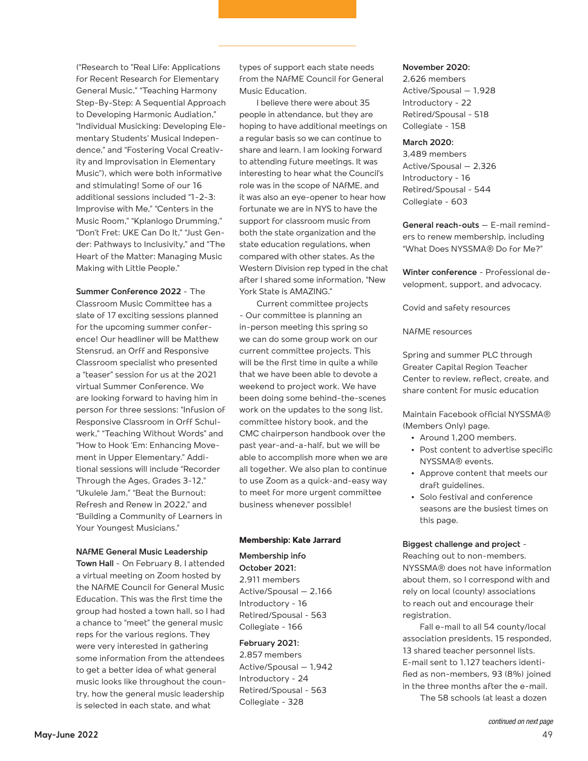("Research to "Real Life: Applications for Recent Research for Elementary General Music," "Teaching Harmony Step-By-Step: A Sequential Approach to Developing Harmonic Audiation," "Individual Musicking: Developing Elementary Students' Musical Independence," and "Fostering Vocal Creativity and Improvisation in Elementary Music"), which were both informative and stimulating! Some of our 16 additional sessions included "1-2-3: Improvise with Me," "Centers in the Music Room," "Kplanlogo Drumming," "Don't Fret: UKE Can Do It," "Just Gender: Pathways to Inclusivity," and "The Heart of the Matter: Managing Music Making with Little People."

#### **Summer Conference 2022** - The

Classroom Music Committee has a slate of 17 exciting sessions planned for the upcoming summer conference! Our headliner will be Matthew Stensrud, an Orff and Responsive Classroom specialist who presented a "teaser" session for us at the 2021 virtual Summer Conference. We are looking forward to having him in person for three sessions: "Infusion of Responsive Classroom in Orff Schulwerk," "Teaching Without Words" and "How to Hook 'Em: Enhancing Movement in Upper Elementary." Additional sessions will include "Recorder Through the Ages, Grades 3-12," "Ukulele Jam," "Beat the Burnout: Refresh and Renew in 2022," and "Building a Community of Learners in Your Youngest Musicians."

#### **NAfME General Music Leadership**

**Town Hall** - On February 8, I attended a virtual meeting on Zoom hosted by the NAfME Council for General Music Education. This was the first time the group had hosted a town hall, so I had a chance to "meet" the general music reps for the various regions. They were very interested in gathering some information from the attendees to get a better idea of what general music looks like throughout the country, how the general music leadership is selected in each state, and what

types of support each state needs from the NAfME Council for General Music Education.

I believe there were about 35 people in attendance, but they are hoping to have additional meetings on a regular basis so we can continue to share and learn. I am looking forward to attending future meetings. It was interesting to hear what the Council's role was in the scope of NAfME, and it was also an eye-opener to hear how fortunate we are in NYS to have the support for classroom music from both the state organization and the state education regulations, when compared with other states. As the Western Division rep typed in the chat after I shared some information, "New York State is AMAZING."

Current committee projects - Our committee is planning an in-person meeting this spring so we can do some group work on our current committee projects. This will be the first time in quite a while that we have been able to devote a weekend to project work. We have been doing some behind-the-scenes work on the updates to the song list, committee history book, and the CMC chairperson handbook over the past year-and-a-half, but we will be able to accomplish more when we are all together. We also plan to continue to use Zoom as a quick-and-easy way to meet for more urgent committee business whenever possible!

#### **Membership: Kate Jarrard**

**Membership info** 

**October 2021:** 

2,911 members Active/Spousal – 2,166 Introductory - 16 Retired/Spousal - 563 Collegiate - 166

#### **February 2021:**

2,857 members Active/Spousal – 1,942 Introductory - 24 Retired/Spousal - 563 Collegiate - 328

#### **November 2020:**

2,626 members Active/Spousal – 1,928 Introductory - 22 Retired/Spousal - 518 Collegiate - 158

#### **March 2020:**

3,489 members Active/Spousal – 2,326 Introductory - 16 Retired/Spousal - 544 Collegiate - 603

**General reach-outs** – E-mail reminders to renew membership, including "What Does NYSSMA® Do for Me?"

**Winter conference** - Professional development, support, and advocacy.

Covid and safety resources

NAfME resources

Spring and summer PLC through Greater Capital Region Teacher Center to review, reflect, create, and share content for music education

Maintain Facebook official NYSSMA® (Members Only) page.

- **•** Around 1,200 members.
- **•** Post content to advertise specific NYSSMA® events.
- **•** Approve content that meets our draft guidelines.
- **•** Solo festival and conference seasons are the busiest times on this page.

#### **Biggest challenge and project** -

Reaching out to non-members. NYSSMA® does not have information about them, so I correspond with and rely on local (county) associations to reach out and encourage their registration.

Fall e-mail to all 54 county/local association presidents, 15 responded, 13 shared teacher personnel lists. E-mail sent to 1,127 teachers identified as non-members, 93 (8%) joined in the three months after the e-mail. The 58 schools (at least a dozen